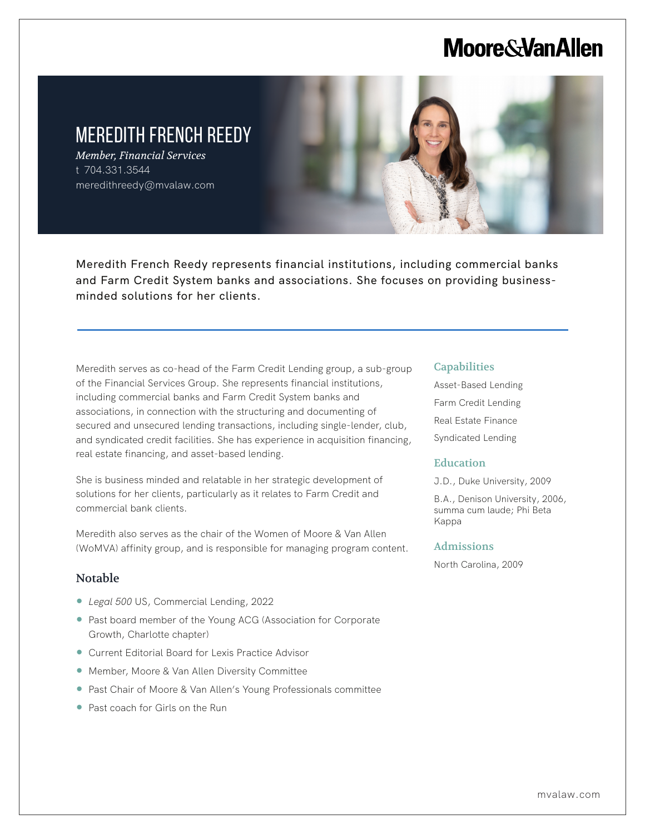# **Moore & Van Allen**



Meredith French Reedy represents financial institutions, including commercial banks and Farm Credit System banks and associations. She focuses on providing businessminded solutions for her clients.

Meredith serves as co-head of the Farm Credit Lending group, a sub-group of the Financial Services Group. She represents financial institutions, including commercial banks and Farm Credit System banks and associations, in connection with the structuring and documenting of secured and unsecured lending transactions, including single-lender, club, and syndicated credit facilities. She has experience in acquisition financing, real estate financing, and asset-based lending.

She is business minded and relatable in her strategic development of solutions for her clients, particularly as it relates to Farm Credit and commercial bank clients.

Meredith also serves as the chair of the Women of Moore & Van Allen (WoMVA) affinity group, and is responsible for managing program content.

## Notable

L

- *Legal 500* US, Commercial Lending, 2022
- Past board member of the Young ACG (Association for Corporate Growth, Charlotte chapter)
- Current Editorial Board for Lexis Practice Advisor
- Member, Moore & Van Allen Diversity Committee
- Past Chair of Moore & Van Allen's Young Professionals committee
- Past coach for Girls on the Run

#### **Capabilities**

Asset-Based Lending Farm Credit Lending Real Estate Finance Syndicated Lending

### **Education**

J.D., Duke University, 2009

B.A., Denison University, 2006, summa cum laude; Phi Beta Kappa

#### Admissions

North Carolina, 2009